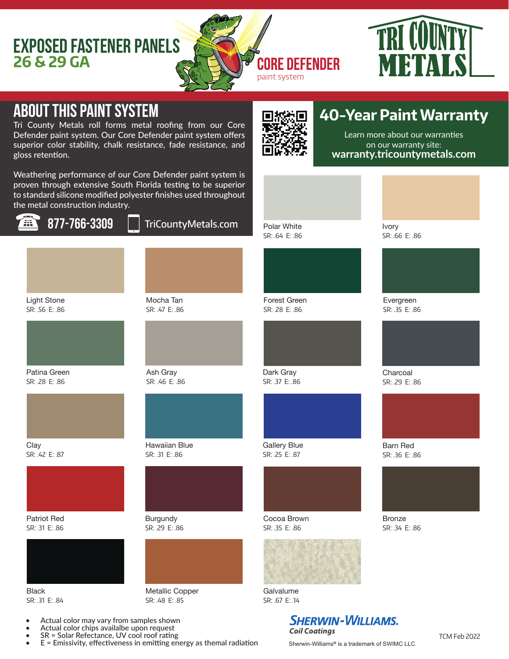### **26 & 29 GA Exposed Fastener Panels**





## **about this paint system**

Tri County Metals roll forms metal roofing from our Core Defender paint system. Our Core Defender paint system offers superior color stability, chalk resistance, fade resistance, and gloss retention.

Weathering performance of our Core Defender paint system is proven through extensive South Florida testing to be superior to standard silicone modified polyester finishes used throughout the metal construction industry.



**877-766-3309** TriCountyMetals.com Polar White



Light Stone SR: .56 E: .86



Patina Green SR: .28 E: .86



Clay SR: .42 E: .87



SR: .31 E: .86



Black SR: .31 E: .84



Mocha Tan SR: .47 E: .86

Ash Gray SR: .46 E: .86





**Burgundy** SR: .29 E: .86



SR: .48 E: .85

- Actual color may vary from samples shown
- Actual color chips availalbe upon request
- SR = Solar Refectance, UV cool roof rating
- $E =$  Emissivity, effectiveness in emitting energy as themal radiation



## **40-Year Paint Warranty**

Learn more about our warranties on our warranty site: **warranty.tricountymetals.com** 

> Ivory SR: .66 E: .86

Evergreen SR: .35 E: .86

Charcoal SR: .29 E: .86

Barn Red SR: .36 E: .86

Bronze SR: .34 E: .86

SR: .64 E: .86

Forest Green SR: .28 E: .86



Dark Gray SR: .37 E: .86



Gallery Blue SR: .25 E: .87



Cocoa Brown SR: .35 E: .86



Galvalume SR: .67 E: .14

#### **SHERWIN-WILLIAMS. Coil Coatings**

Sherwin-Williams**®** is a trademark of SWIMC LLC